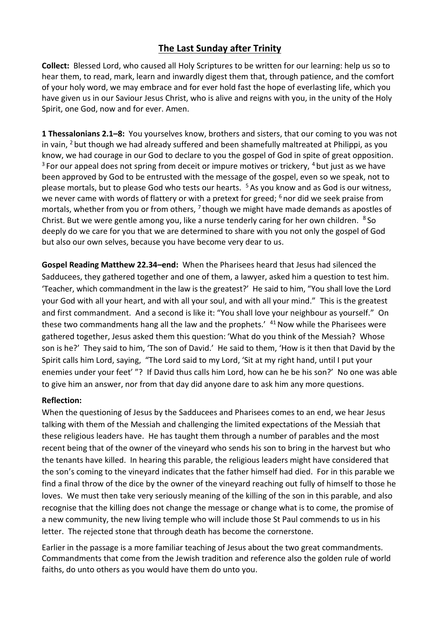## **The Last Sunday after Trinity**

**Collect:** Blessed Lord, who caused all Holy Scriptures to be written for our learning: help us so to hear them, to read, mark, learn and inwardly digest them that, through patience, and the comfort of your holy word, we may embrace and for ever hold fast the hope of everlasting life, which you have given us in our Saviour Jesus Christ, who is alive and reigns with you, in the unity of the Holy Spirit, one God, now and for ever. Amen.

**1 Thessalonians 2.1–8:** You yourselves know, brothers and sisters, that our coming to you was not in vain,  $2$  but though we had already suffered and been shamefully maltreated at Philippi, as you know, we had courage in our God to declare to you the gospel of God in spite of great opposition.  $3$  For our appeal does not spring from deceit or impure motives or trickery,  $4$  but just as we have been approved by God to be entrusted with the message of the gospel, even so we speak, not to please mortals, but to please God who tests our hearts. <sup>5</sup> As you know and as God is our witness, we never came with words of flattery or with a pretext for greed; <sup>6</sup> nor did we seek praise from mortals, whether from you or from others,  $<sup>7</sup>$  though we might have made demands as apostles of</sup> Christ. But we were gentle among you, like a nurse tenderly caring for her own children. <sup>8</sup>So deeply do we care for you that we are determined to share with you not only the gospel of God but also our own selves, because you have become very dear to us.

**Gospel Reading Matthew 22.34–end:** When the Pharisees heard that Jesus had silenced the Sadducees, they gathered together and one of them, a lawyer, asked him a question to test him. 'Teacher, which commandment in the law is the greatest?' He said to him, "You shall love the Lord your God with all your heart, and with all your soul, and with all your mind." This is the greatest and first commandment. And a second is like it: "You shall love your neighbour as yourself." On these two commandments hang all the law and the prophets.'  $41$  Now while the Pharisees were gathered together, Jesus asked them this question: 'What do you think of the Messiah? Whose son is he?' They said to him, 'The son of David.' He said to them, 'How is it then that David by the Spirit calls him Lord, saying, "The Lord said to my Lord, 'Sit at my right hand, until I put your enemies under your feet' "? If David thus calls him Lord, how can he be his son?' No one was able to give him an answer, nor from that day did anyone dare to ask him any more questions.

## **Reflection:**

When the questioning of Jesus by the Sadducees and Pharisees comes to an end, we hear Jesus talking with them of the Messiah and challenging the limited expectations of the Messiah that these religious leaders have. He has taught them through a number of parables and the most recent being that of the owner of the vineyard who sends his son to bring in the harvest but who the tenants have killed. In hearing this parable, the religious leaders might have considered that the son's coming to the vineyard indicates that the father himself had died. For in this parable we find a final throw of the dice by the owner of the vineyard reaching out fully of himself to those he loves. We must then take very seriously meaning of the killing of the son in this parable, and also recognise that the killing does not change the message or change what is to come, the promise of a new community, the new living temple who will include those St Paul commends to us in his letter. The rejected stone that through death has become the cornerstone.

Earlier in the passage is a more familiar teaching of Jesus about the two great commandments. Commandments that come from the Jewish tradition and reference also the golden rule of world faiths, do unto others as you would have them do unto you.